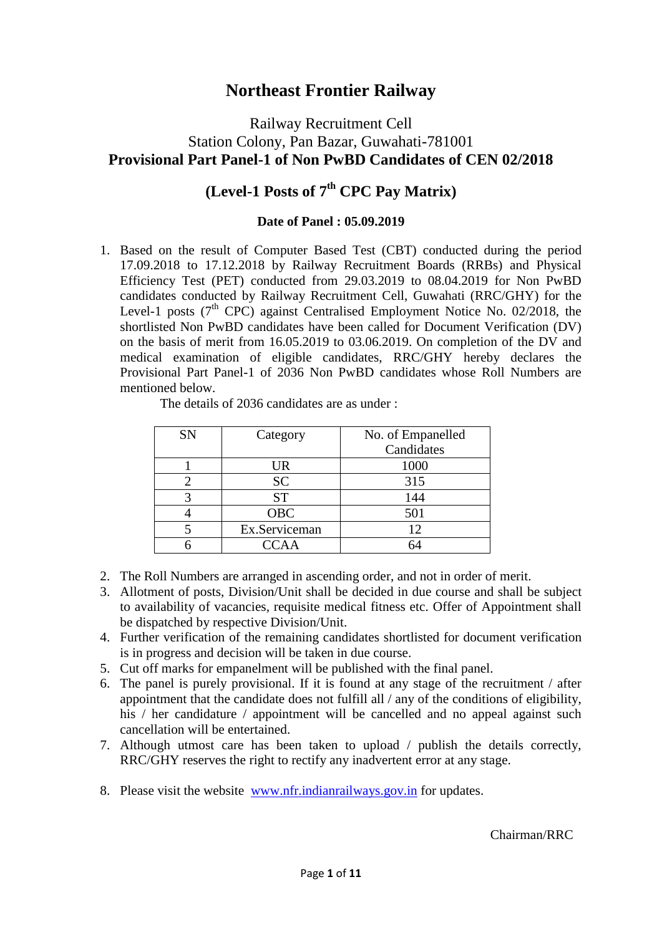## **Northeast Frontier Railway**

### Railway Recruitment Cell Station Colony, Pan Bazar, Guwahati-781001 **Provisional Part Panel-1 of Non PwBD Candidates of CEN 02/2018**

# **(Level-1 Posts of 7th CPC Pay Matrix)**

#### **Date of Panel : 05.09.2019**

1. Based on the result of Computer Based Test (CBT) conducted during the period 17.09.2018 to 17.12.2018 by Railway Recruitment Boards (RRBs) and Physical Efficiency Test (PET) conducted from 29.03.2019 to 08.04.2019 for Non PwBD candidates conducted by Railway Recruitment Cell, Guwahati (RRC/GHY) for the Level-1 posts  $(7<sup>th</sup>$  CPC) against Centralised Employment Notice No. 02/2018, the shortlisted Non PwBD candidates have been called for Document Verification (DV) on the basis of merit from 16.05.2019 to 03.06.2019. On completion of the DV and medical examination of eligible candidates, RRC/GHY hereby declares the Provisional Part Panel-1 of 2036 Non PwBD candidates whose Roll Numbers are mentioned below.

| <b>SN</b> | Category      | No. of Empanelled |
|-----------|---------------|-------------------|
|           |               | Candidates        |
|           | UR            | 1000              |
|           | <b>SC</b>     | 315               |
|           | <b>ST</b>     | 144               |
|           | <b>OBC</b>    | 501               |
|           | Ex.Serviceman | 12                |
|           | CCAA          |                   |

The details of 2036 candidates are as under :

- 2. The Roll Numbers are arranged in ascending order, and not in order of merit.
- 3. Allotment of posts, Division/Unit shall be decided in due course and shall be subject to availability of vacancies, requisite medical fitness etc. Offer of Appointment shall be dispatched by respective Division/Unit.
- 4. Further verification of the remaining candidates shortlisted for document verification is in progress and decision will be taken in due course.
- 5. Cut off marks for empanelment will be published with the final panel.
- 6. The panel is purely provisional. If it is found at any stage of the recruitment / after appointment that the candidate does not fulfill all / any of the conditions of eligibility, his / her candidature / appointment will be cancelled and no appeal against such cancellation will be entertained.
- 7. Although utmost care has been taken to upload / publish the details correctly, RRC/GHY reserves the right to rectify any inadvertent error at any stage.
- 8. Please visit the website [www.nfr.indianrailways.gov.in](http://www.nfr.indianrailways.gov.in/) for updates.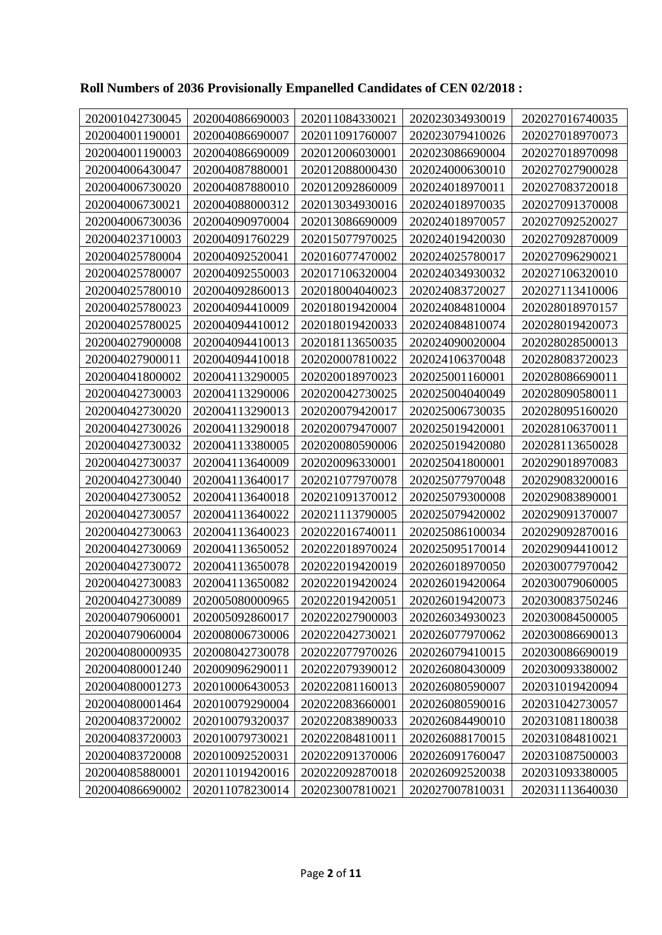| 202001042730045 | 202004086690003 | 202011084330021 | 202023034930019 | 202027016740035 |
|-----------------|-----------------|-----------------|-----------------|-----------------|
| 202004001190001 | 202004086690007 | 202011091760007 | 202023079410026 | 202027018970073 |
| 202004001190003 | 202004086690009 | 202012006030001 | 202023086690004 | 202027018970098 |
| 202004006430047 | 202004087880001 | 202012088000430 | 202024000630010 | 202027027900028 |
| 202004006730020 | 202004087880010 | 202012092860009 | 202024018970011 | 202027083720018 |
| 202004006730021 | 202004088000312 | 202013034930016 | 202024018970035 | 202027091370008 |
| 202004006730036 | 202004090970004 | 202013086690009 | 202024018970057 | 202027092520027 |
| 202004023710003 | 202004091760229 | 202015077970025 | 202024019420030 | 202027092870009 |
| 202004025780004 | 202004092520041 | 202016077470002 | 202024025780017 | 202027096290021 |
| 202004025780007 | 202004092550003 | 202017106320004 | 202024034930032 | 202027106320010 |
| 202004025780010 | 202004092860013 | 202018004040023 | 202024083720027 | 202027113410006 |
| 202004025780023 | 202004094410009 | 202018019420004 | 202024084810004 | 202028018970157 |
| 202004025780025 | 202004094410012 | 202018019420033 | 202024084810074 | 202028019420073 |
| 202004027900008 | 202004094410013 | 202018113650035 | 202024090020004 | 202028028500013 |
| 202004027900011 | 202004094410018 | 202020007810022 | 202024106370048 | 202028083720023 |
| 202004041800002 | 202004113290005 | 202020018970023 | 202025001160001 | 202028086690011 |
| 202004042730003 | 202004113290006 | 202020042730025 | 202025004040049 | 202028090580011 |
| 202004042730020 | 202004113290013 | 202020079420017 | 202025006730035 | 202028095160020 |
| 202004042730026 | 202004113290018 | 202020079470007 | 202025019420001 | 202028106370011 |
| 202004042730032 | 202004113380005 | 202020080590006 | 202025019420080 | 202028113650028 |
| 202004042730037 | 202004113640009 | 202020096330001 | 202025041800001 | 202029018970083 |
| 202004042730040 | 202004113640017 | 202021077970078 | 202025077970048 | 202029083200016 |
| 202004042730052 | 202004113640018 | 202021091370012 | 202025079300008 | 202029083890001 |
| 202004042730057 | 202004113640022 | 202021113790005 | 202025079420002 | 202029091370007 |
| 202004042730063 | 202004113640023 | 202022016740011 | 202025086100034 | 202029092870016 |
| 202004042730069 | 202004113650052 | 202022018970024 | 202025095170014 | 202029094410012 |
| 202004042730072 | 202004113650078 | 202022019420019 | 202026018970050 | 202030077970042 |
| 202004042730083 | 202004113650082 | 202022019420024 | 202026019420064 | 202030079060005 |
| 202004042730089 | 202005080000965 | 202022019420051 | 202026019420073 | 202030083750246 |
| 202004079060001 | 202005092860017 | 202022027900003 | 202026034930023 | 202030084500005 |
| 202004079060004 | 202008006730006 | 202022042730021 | 202026077970062 | 202030086690013 |
| 202004080000935 | 202008042730078 | 202022077970026 | 202026079410015 | 202030086690019 |
| 202004080001240 | 202009096290011 | 202022079390012 | 202026080430009 | 202030093380002 |
| 202004080001273 | 202010006430053 | 202022081160013 | 202026080590007 | 202031019420094 |
| 202004080001464 | 202010079290004 | 202022083660001 | 202026080590016 | 202031042730057 |
| 202004083720002 | 202010079320037 | 202022083890033 | 202026084490010 | 202031081180038 |
| 202004083720003 | 202010079730021 | 202022084810011 | 202026088170015 | 202031084810021 |
| 202004083720008 | 202010092520031 | 202022091370006 | 202026091760047 | 202031087500003 |
| 202004085880001 | 202011019420016 | 202022092870018 | 202026092520038 | 202031093380005 |
| 202004086690002 | 202011078230014 | 202023007810021 | 202027007810031 | 202031113640030 |

## **Roll Numbers of 2036 Provisionally Empanelled Candidates of CEN 02/2018 :**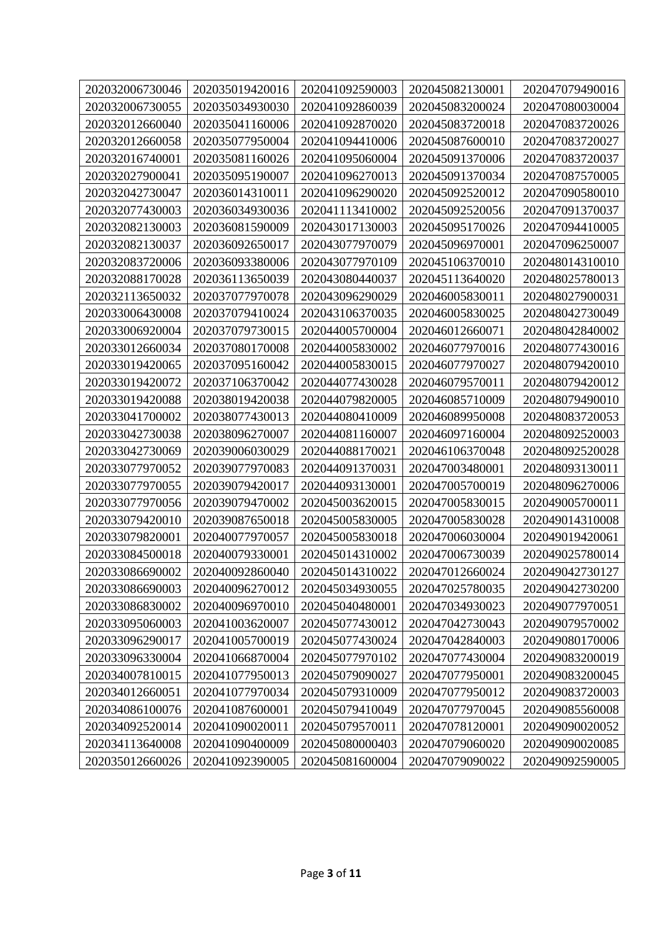| 202032006730046 | 202035019420016 | 202041092590003 | 202045082130001 | 202047079490016 |
|-----------------|-----------------|-----------------|-----------------|-----------------|
| 202032006730055 | 202035034930030 | 202041092860039 | 202045083200024 | 202047080030004 |
| 202032012660040 | 202035041160006 | 202041092870020 | 202045083720018 | 202047083720026 |
| 202032012660058 | 202035077950004 | 202041094410006 | 202045087600010 | 202047083720027 |
| 202032016740001 | 202035081160026 | 202041095060004 | 202045091370006 | 202047083720037 |
| 202032027900041 | 202035095190007 | 202041096270013 | 202045091370034 | 202047087570005 |
| 202032042730047 | 202036014310011 | 202041096290020 | 202045092520012 | 202047090580010 |
| 202032077430003 | 202036034930036 | 202041113410002 | 202045092520056 | 202047091370037 |
| 202032082130003 | 202036081590009 | 202043017130003 | 202045095170026 | 202047094410005 |
| 202032082130037 | 202036092650017 | 202043077970079 | 202045096970001 | 202047096250007 |
| 202032083720006 | 202036093380006 | 202043077970109 | 202045106370010 | 202048014310010 |
| 202032088170028 | 202036113650039 | 202043080440037 | 202045113640020 | 202048025780013 |
| 202032113650032 | 202037077970078 | 202043096290029 | 202046005830011 | 202048027900031 |
| 202033006430008 | 202037079410024 | 202043106370035 | 202046005830025 | 202048042730049 |
| 202033006920004 | 202037079730015 | 202044005700004 | 202046012660071 | 202048042840002 |
| 202033012660034 | 202037080170008 | 202044005830002 | 202046077970016 | 202048077430016 |
| 202033019420065 | 202037095160042 | 202044005830015 | 202046077970027 | 202048079420010 |
| 202033019420072 | 202037106370042 | 202044077430028 | 202046079570011 | 202048079420012 |
| 202033019420088 | 202038019420038 | 202044079820005 | 202046085710009 | 202048079490010 |
| 202033041700002 | 202038077430013 | 202044080410009 | 202046089950008 | 202048083720053 |
| 202033042730038 | 202038096270007 | 202044081160007 | 202046097160004 | 202048092520003 |
| 202033042730069 | 202039006030029 | 202044088170021 | 202046106370048 | 202048092520028 |
| 202033077970052 | 202039077970083 | 202044091370031 | 202047003480001 | 202048093130011 |
| 202033077970055 | 202039079420017 | 202044093130001 | 202047005700019 | 202048096270006 |
| 202033077970056 | 202039079470002 | 202045003620015 | 202047005830015 | 202049005700011 |
| 202033079420010 | 202039087650018 | 202045005830005 | 202047005830028 | 202049014310008 |
| 202033079820001 | 202040077970057 | 202045005830018 | 202047006030004 | 202049019420061 |
| 202033084500018 | 202040079330001 | 202045014310002 | 202047006730039 | 202049025780014 |
| 202033086690002 | 202040092860040 | 202045014310022 | 202047012660024 | 202049042730127 |
| 202033086690003 | 202040096270012 | 202045034930055 | 202047025780035 | 202049042730200 |
| 202033086830002 | 202040096970010 | 202045040480001 | 202047034930023 | 202049077970051 |
| 202033095060003 | 202041003620007 | 202045077430012 | 202047042730043 | 202049079570002 |
| 202033096290017 | 202041005700019 | 202045077430024 | 202047042840003 | 202049080170006 |
| 202033096330004 | 202041066870004 | 202045077970102 | 202047077430004 | 202049083200019 |
| 202034007810015 | 202041077950013 | 202045079090027 | 202047077950001 | 202049083200045 |
| 202034012660051 | 202041077970034 | 202045079310009 | 202047077950012 | 202049083720003 |
| 202034086100076 | 202041087600001 | 202045079410049 | 202047077970045 | 202049085560008 |
| 202034092520014 | 202041090020011 | 202045079570011 | 202047078120001 | 202049090020052 |
| 202034113640008 | 202041090400009 | 202045080000403 | 202047079060020 | 202049090020085 |
| 202035012660026 | 202041092390005 | 202045081600004 | 202047079090022 | 202049092590005 |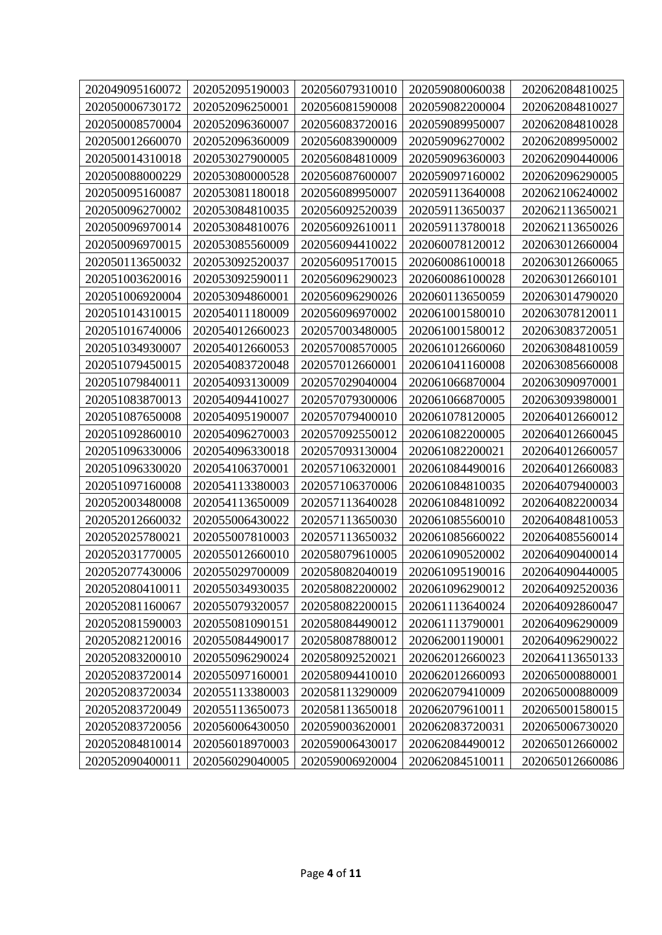| 202049095160072 | 202052095190003 | 202056079310010 | 202059080060038 | 202062084810025 |
|-----------------|-----------------|-----------------|-----------------|-----------------|
| 202050006730172 | 202052096250001 | 202056081590008 | 202059082200004 | 202062084810027 |
| 202050008570004 | 202052096360007 | 202056083720016 | 202059089950007 | 202062084810028 |
| 202050012660070 | 202052096360009 | 202056083900009 | 202059096270002 | 202062089950002 |
| 202050014310018 | 202053027900005 | 202056084810009 | 202059096360003 | 202062090440006 |
| 202050088000229 | 202053080000528 | 202056087600007 | 202059097160002 | 202062096290005 |
| 202050095160087 | 202053081180018 | 202056089950007 | 202059113640008 | 202062106240002 |
| 202050096270002 | 202053084810035 | 202056092520039 | 202059113650037 | 202062113650021 |
| 202050096970014 | 202053084810076 | 202056092610011 | 202059113780018 | 202062113650026 |
| 202050096970015 | 202053085560009 | 202056094410022 | 202060078120012 | 202063012660004 |
| 202050113650032 | 202053092520037 | 202056095170015 | 202060086100018 | 202063012660065 |
| 202051003620016 | 202053092590011 | 202056096290023 | 202060086100028 | 202063012660101 |
| 202051006920004 | 202053094860001 | 202056096290026 | 202060113650059 | 202063014790020 |
| 202051014310015 | 202054011180009 | 202056096970002 | 202061001580010 | 202063078120011 |
| 202051016740006 | 202054012660023 | 202057003480005 | 202061001580012 | 202063083720051 |
| 202051034930007 | 202054012660053 | 202057008570005 | 202061012660060 | 202063084810059 |
| 202051079450015 | 202054083720048 | 202057012660001 | 202061041160008 | 202063085660008 |
| 202051079840011 | 202054093130009 | 202057029040004 | 202061066870004 | 202063090970001 |
| 202051083870013 | 202054094410027 | 202057079300006 | 202061066870005 | 202063093980001 |
| 202051087650008 | 202054095190007 | 202057079400010 | 202061078120005 | 202064012660012 |
| 202051092860010 | 202054096270003 | 202057092550012 | 202061082200005 | 202064012660045 |
| 202051096330006 | 202054096330018 | 202057093130004 | 202061082200021 | 202064012660057 |
| 202051096330020 | 202054106370001 | 202057106320001 | 202061084490016 | 202064012660083 |
| 202051097160008 | 202054113380003 | 202057106370006 | 202061084810035 | 202064079400003 |
| 202052003480008 | 202054113650009 | 202057113640028 | 202061084810092 | 202064082200034 |
| 202052012660032 | 202055006430022 | 202057113650030 | 202061085560010 | 202064084810053 |
| 202052025780021 | 202055007810003 | 202057113650032 | 202061085660022 | 202064085560014 |
| 202052031770005 | 202055012660010 | 202058079610005 | 202061090520002 | 202064090400014 |
| 202052077430006 | 202055029700009 | 202058082040019 | 202061095190016 | 202064090440005 |
| 202052080410011 | 202055034930035 | 202058082200002 | 202061096290012 | 202064092520036 |
| 202052081160067 | 202055079320057 | 202058082200015 | 202061113640024 | 202064092860047 |
| 202052081590003 | 202055081090151 | 202058084490012 | 202061113790001 | 202064096290009 |
| 202052082120016 | 202055084490017 | 202058087880012 | 202062001190001 | 202064096290022 |
| 202052083200010 | 202055096290024 | 202058092520021 | 202062012660023 | 202064113650133 |
| 202052083720014 | 202055097160001 | 202058094410010 | 202062012660093 | 202065000880001 |
| 202052083720034 | 202055113380003 | 202058113290009 | 202062079410009 | 202065000880009 |
| 202052083720049 | 202055113650073 | 202058113650018 | 202062079610011 | 202065001580015 |
| 202052083720056 | 202056006430050 | 202059003620001 | 202062083720031 | 202065006730020 |
| 202052084810014 | 202056018970003 | 202059006430017 | 202062084490012 | 202065012660002 |
| 202052090400011 | 202056029040005 | 202059006920004 | 202062084510011 | 202065012660086 |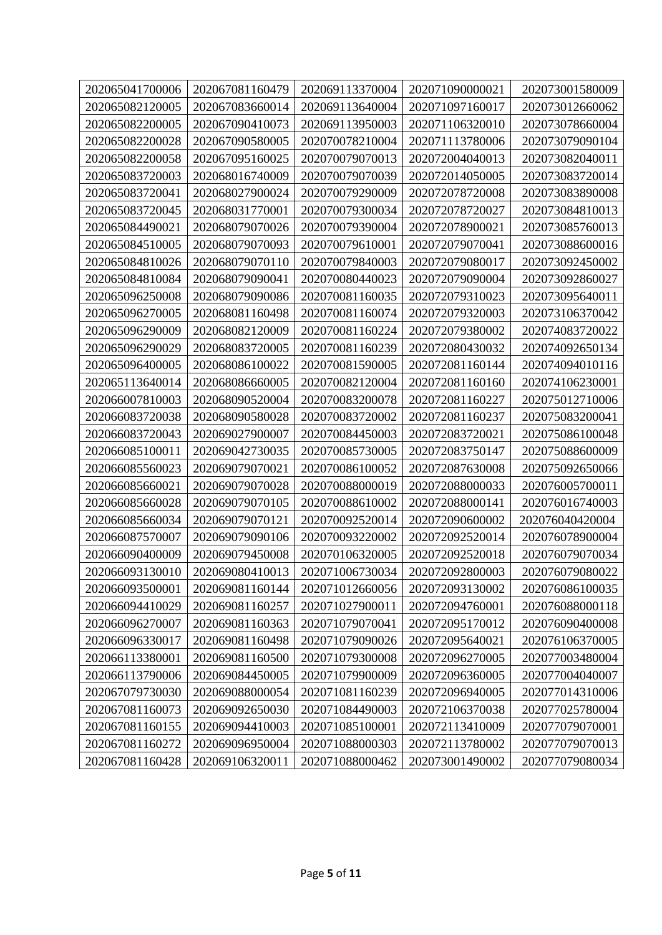| 202065041700006 | 202067081160479 | 202069113370004 | 202071090000021 | 202073001580009 |
|-----------------|-----------------|-----------------|-----------------|-----------------|
| 202065082120005 | 202067083660014 | 202069113640004 | 202071097160017 | 202073012660062 |
| 202065082200005 | 202067090410073 | 202069113950003 | 202071106320010 | 202073078660004 |
| 202065082200028 | 202067090580005 | 202070078210004 | 202071113780006 | 202073079090104 |
| 202065082200058 | 202067095160025 | 202070079070013 | 202072004040013 | 202073082040011 |
| 202065083720003 | 202068016740009 | 202070079070039 | 202072014050005 | 202073083720014 |
| 202065083720041 | 202068027900024 | 202070079290009 | 202072078720008 | 202073083890008 |
| 202065083720045 | 202068031770001 | 202070079300034 | 202072078720027 | 202073084810013 |
| 202065084490021 | 202068079070026 | 202070079390004 | 202072078900021 | 202073085760013 |
| 202065084510005 | 202068079070093 | 202070079610001 | 202072079070041 | 202073088600016 |
| 202065084810026 | 202068079070110 | 202070079840003 | 202072079080017 | 202073092450002 |
| 202065084810084 | 202068079090041 | 202070080440023 | 202072079090004 | 202073092860027 |
| 202065096250008 | 202068079090086 | 202070081160035 | 202072079310023 | 202073095640011 |
| 202065096270005 | 202068081160498 | 202070081160074 | 202072079320003 | 202073106370042 |
| 202065096290009 | 202068082120009 | 202070081160224 | 202072079380002 | 202074083720022 |
| 202065096290029 | 202068083720005 | 202070081160239 | 202072080430032 | 202074092650134 |
| 202065096400005 | 202068086100022 | 202070081590005 | 202072081160144 | 202074094010116 |
| 202065113640014 | 202068086660005 | 202070082120004 | 202072081160160 | 202074106230001 |
| 202066007810003 | 202068090520004 | 202070083200078 | 202072081160227 | 202075012710006 |
| 202066083720038 | 202068090580028 | 202070083720002 | 202072081160237 | 202075083200041 |
| 202066083720043 | 202069027900007 | 202070084450003 | 202072083720021 | 202075086100048 |
| 202066085100011 | 202069042730035 | 202070085730005 | 202072083750147 | 202075088600009 |
| 202066085560023 | 202069079070021 | 202070086100052 | 202072087630008 | 202075092650066 |
| 202066085660021 | 202069079070028 | 202070088000019 | 202072088000033 | 202076005700011 |
| 202066085660028 | 202069079070105 | 202070088610002 | 202072088000141 | 202076016740003 |
| 202066085660034 | 202069079070121 | 202070092520014 | 202072090600002 | 202076040420004 |
| 202066087570007 | 202069079090106 | 202070093220002 | 202072092520014 | 202076078900004 |
| 202066090400009 | 202069079450008 | 202070106320005 | 202072092520018 | 202076079070034 |
| 202066093130010 | 202069080410013 | 202071006730034 | 202072092800003 | 202076079080022 |
| 202066093500001 | 202069081160144 | 202071012660056 | 202072093130002 | 202076086100035 |
| 202066094410029 | 202069081160257 | 202071027900011 | 202072094760001 | 202076088000118 |
| 202066096270007 | 202069081160363 | 202071079070041 | 202072095170012 | 202076090400008 |
| 202066096330017 | 202069081160498 | 202071079090026 | 202072095640021 | 202076106370005 |
| 202066113380001 | 202069081160500 | 202071079300008 | 202072096270005 | 202077003480004 |
| 202066113790006 | 202069084450005 | 202071079900009 | 202072096360005 | 202077004040007 |
| 202067079730030 | 202069088000054 | 202071081160239 | 202072096940005 | 202077014310006 |
| 202067081160073 | 202069092650030 | 202071084490003 | 202072106370038 | 202077025780004 |
| 202067081160155 | 202069094410003 | 202071085100001 | 202072113410009 | 202077079070001 |
| 202067081160272 | 202069096950004 | 202071088000303 | 202072113780002 | 202077079070013 |
| 202067081160428 | 202069106320011 | 202071088000462 | 202073001490002 | 202077079080034 |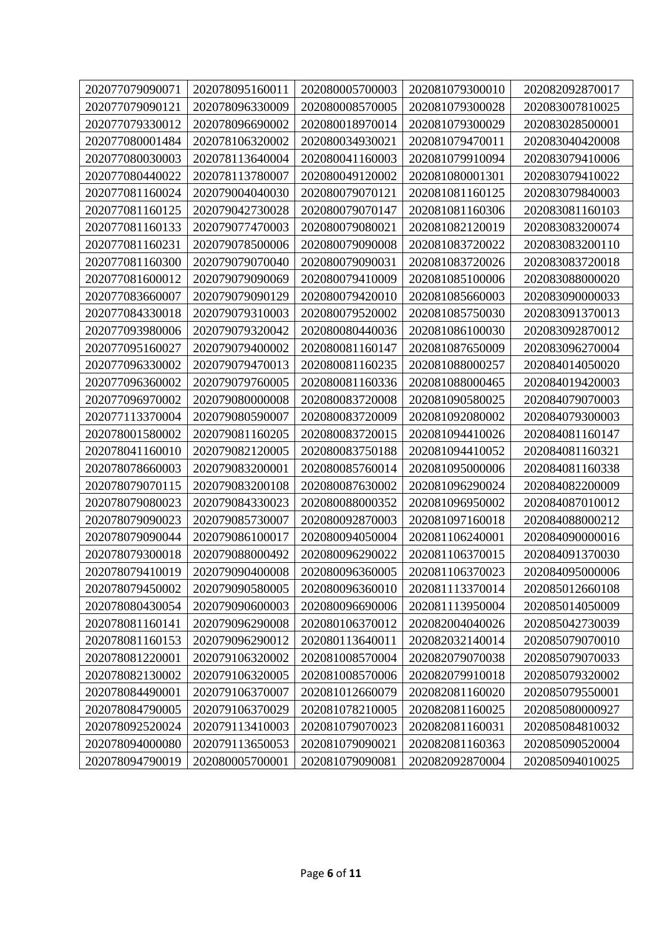| 202077079090071 | 202078095160011 | 202080005700003 | 202081079300010 | 202082092870017 |
|-----------------|-----------------|-----------------|-----------------|-----------------|
| 202077079090121 | 202078096330009 | 202080008570005 | 202081079300028 | 202083007810025 |
| 202077079330012 | 202078096690002 | 202080018970014 | 202081079300029 | 202083028500001 |
| 202077080001484 | 202078106320002 | 202080034930021 | 202081079470011 | 202083040420008 |
| 202077080030003 | 202078113640004 | 202080041160003 | 202081079910094 | 202083079410006 |
| 202077080440022 | 202078113780007 | 202080049120002 | 202081080001301 | 202083079410022 |
| 202077081160024 | 202079004040030 | 202080079070121 | 202081081160125 | 202083079840003 |
| 202077081160125 | 202079042730028 | 202080079070147 | 202081081160306 | 202083081160103 |
| 202077081160133 | 202079077470003 | 202080079080021 | 202081082120019 | 202083083200074 |
| 202077081160231 | 202079078500006 | 202080079090008 | 202081083720022 | 202083083200110 |
| 202077081160300 | 202079079070040 | 202080079090031 | 202081083720026 | 202083083720018 |
| 202077081600012 | 202079079090069 | 202080079410009 | 202081085100006 | 202083088000020 |
| 202077083660007 | 202079079090129 | 202080079420010 | 202081085660003 | 202083090000033 |
| 202077084330018 | 202079079310003 | 202080079520002 | 202081085750030 | 202083091370013 |
| 202077093980006 | 202079079320042 | 202080080440036 | 202081086100030 | 202083092870012 |
| 202077095160027 | 202079079400002 | 202080081160147 | 202081087650009 | 202083096270004 |
| 202077096330002 | 202079079470013 | 202080081160235 | 202081088000257 | 202084014050020 |
| 202077096360002 | 202079079760005 | 202080081160336 | 202081088000465 | 202084019420003 |
| 202077096970002 | 202079080000008 | 202080083720008 | 202081090580025 | 202084079070003 |
| 202077113370004 | 202079080590007 | 202080083720009 | 202081092080002 | 202084079300003 |
| 202078001580002 | 202079081160205 | 202080083720015 | 202081094410026 | 202084081160147 |
| 202078041160010 | 202079082120005 | 202080083750188 | 202081094410052 | 202084081160321 |
| 202078078660003 | 202079083200001 | 202080085760014 | 202081095000006 | 202084081160338 |
| 202078079070115 | 202079083200108 | 202080087630002 | 202081096290024 | 202084082200009 |
| 202078079080023 | 202079084330023 | 202080088000352 | 202081096950002 | 202084087010012 |
| 202078079090023 | 202079085730007 | 202080092870003 | 202081097160018 | 202084088000212 |
| 202078079090044 | 202079086100017 | 202080094050004 | 202081106240001 | 202084090000016 |
| 202078079300018 | 202079088000492 | 202080096290022 | 202081106370015 | 202084091370030 |
| 202078079410019 | 202079090400008 | 202080096360005 | 202081106370023 | 202084095000006 |
| 202078079450002 | 202079090580005 | 202080096360010 | 202081113370014 | 202085012660108 |
| 202078080430054 | 202079090600003 | 202080096690006 | 202081113950004 | 202085014050009 |
| 202078081160141 | 202079096290008 | 202080106370012 | 202082004040026 | 202085042730039 |
| 202078081160153 | 202079096290012 | 202080113640011 | 202082032140014 | 202085079070010 |
| 202078081220001 | 202079106320002 | 202081008570004 | 202082079070038 | 202085079070033 |
| 202078082130002 | 202079106320005 | 202081008570006 | 202082079910018 | 202085079320002 |
| 202078084490001 | 202079106370007 | 202081012660079 | 202082081160020 | 202085079550001 |
| 202078084790005 | 202079106370029 | 202081078210005 | 202082081160025 | 202085080000927 |
| 202078092520024 | 202079113410003 | 202081079070023 | 202082081160031 | 202085084810032 |
| 202078094000080 | 202079113650053 | 202081079090021 | 202082081160363 | 202085090520004 |
| 202078094790019 | 202080005700001 | 202081079090081 | 202082092870004 | 202085094010025 |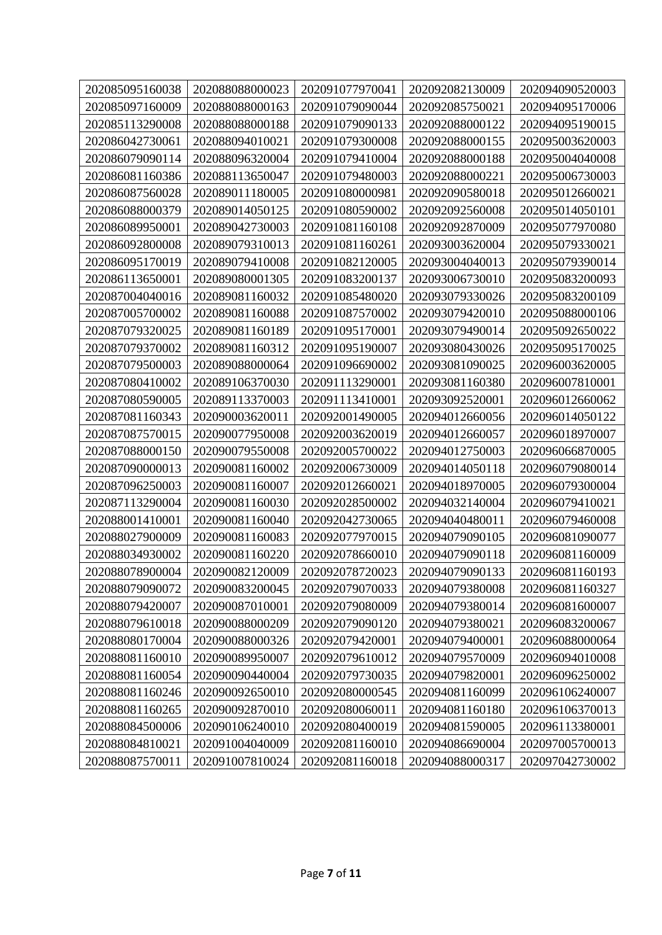| 202085095160038 | 202088088000023 | 202091077970041 | 202092082130009 | 202094090520003 |
|-----------------|-----------------|-----------------|-----------------|-----------------|
| 202085097160009 | 202088088000163 | 202091079090044 | 202092085750021 | 202094095170006 |
| 202085113290008 | 202088088000188 | 202091079090133 | 202092088000122 | 202094095190015 |
| 202086042730061 | 202088094010021 | 202091079300008 | 202092088000155 | 202095003620003 |
| 202086079090114 | 202088096320004 | 202091079410004 | 202092088000188 | 202095004040008 |
| 202086081160386 | 202088113650047 | 202091079480003 | 202092088000221 | 202095006730003 |
| 202086087560028 | 202089011180005 | 202091080000981 | 202092090580018 | 202095012660021 |
| 202086088000379 | 202089014050125 | 202091080590002 | 202092092560008 | 202095014050101 |
| 202086089950001 | 202089042730003 | 202091081160108 | 202092092870009 | 202095077970080 |
| 202086092800008 | 202089079310013 | 202091081160261 | 202093003620004 | 202095079330021 |
| 202086095170019 | 202089079410008 | 202091082120005 | 202093004040013 | 202095079390014 |
| 202086113650001 | 202089080001305 | 202091083200137 | 202093006730010 | 202095083200093 |
| 202087004040016 | 202089081160032 | 202091085480020 | 202093079330026 | 202095083200109 |
| 202087005700002 | 202089081160088 | 202091087570002 | 202093079420010 | 202095088000106 |
| 202087079320025 | 202089081160189 | 202091095170001 | 202093079490014 | 202095092650022 |
| 202087079370002 | 202089081160312 | 202091095190007 | 202093080430026 | 202095095170025 |
| 202087079500003 | 202089088000064 | 202091096690002 | 202093081090025 | 202096003620005 |
| 202087080410002 | 202089106370030 | 202091113290001 | 202093081160380 | 202096007810001 |
| 202087080590005 | 202089113370003 | 202091113410001 | 202093092520001 | 202096012660062 |
| 202087081160343 | 202090003620011 | 202092001490005 | 202094012660056 | 202096014050122 |
| 202087087570015 | 202090077950008 | 202092003620019 | 202094012660057 | 202096018970007 |
| 202087088000150 | 202090079550008 | 202092005700022 | 202094012750003 | 202096066870005 |
| 202087090000013 | 202090081160002 | 202092006730009 | 202094014050118 | 202096079080014 |
| 202087096250003 | 202090081160007 | 202092012660021 | 202094018970005 | 202096079300004 |
| 202087113290004 | 202090081160030 | 202092028500002 | 202094032140004 | 202096079410021 |
| 202088001410001 | 202090081160040 | 202092042730065 | 202094040480011 | 202096079460008 |
| 202088027900009 | 202090081160083 | 202092077970015 | 202094079090105 | 202096081090077 |
| 202088034930002 | 202090081160220 | 202092078660010 | 202094079090118 | 202096081160009 |
| 202088078900004 | 202090082120009 | 202092078720023 | 202094079090133 | 202096081160193 |
| 202088079090072 | 202090083200045 | 202092079070033 | 202094079380008 | 202096081160327 |
| 202088079420007 | 202090087010001 | 202092079080009 | 202094079380014 | 202096081600007 |
| 202088079610018 | 202090088000209 | 202092079090120 | 202094079380021 | 202096083200067 |
| 202088080170004 | 202090088000326 | 202092079420001 | 202094079400001 | 202096088000064 |
| 202088081160010 | 202090089950007 | 202092079610012 | 202094079570009 | 202096094010008 |
| 202088081160054 | 202090090440004 | 202092079730035 | 202094079820001 | 202096096250002 |
| 202088081160246 | 202090092650010 | 202092080000545 | 202094081160099 | 202096106240007 |
| 202088081160265 | 202090092870010 | 202092080060011 | 202094081160180 | 202096106370013 |
| 202088084500006 | 202090106240010 | 202092080400019 | 202094081590005 | 202096113380001 |
| 202088084810021 | 202091004040009 | 202092081160010 | 202094086690004 | 202097005700013 |
| 202088087570011 | 202091007810024 | 202092081160018 | 202094088000317 | 202097042730002 |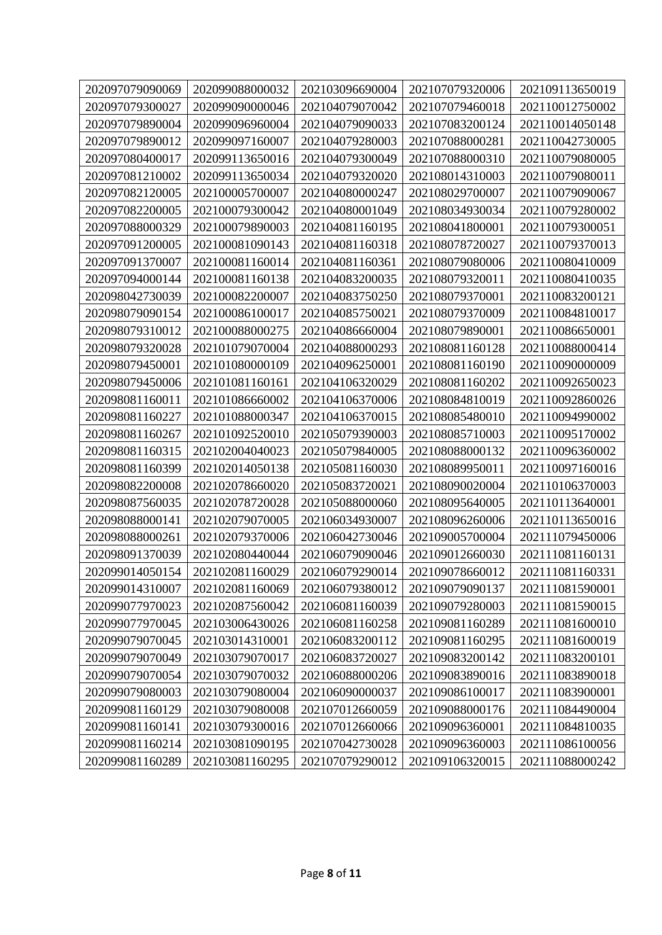| 202097079090069 | 202099088000032 | 202103096690004 | 202107079320006 | 202109113650019 |
|-----------------|-----------------|-----------------|-----------------|-----------------|
| 202097079300027 | 202099090000046 | 202104079070042 | 202107079460018 | 202110012750002 |
| 202097079890004 | 202099096960004 | 202104079090033 | 202107083200124 | 202110014050148 |
| 202097079890012 | 202099097160007 | 202104079280003 | 202107088000281 | 202110042730005 |
| 202097080400017 | 202099113650016 | 202104079300049 | 202107088000310 | 202110079080005 |
| 202097081210002 | 202099113650034 | 202104079320020 | 202108014310003 | 202110079080011 |
| 202097082120005 | 202100005700007 | 202104080000247 | 202108029700007 | 202110079090067 |
| 202097082200005 | 202100079300042 | 202104080001049 | 202108034930034 | 202110079280002 |
| 202097088000329 | 202100079890003 | 202104081160195 | 202108041800001 | 202110079300051 |
| 202097091200005 | 202100081090143 | 202104081160318 | 202108078720027 | 202110079370013 |
| 202097091370007 | 202100081160014 | 202104081160361 | 202108079080006 | 202110080410009 |
| 202097094000144 | 202100081160138 | 202104083200035 | 202108079320011 | 202110080410035 |
| 202098042730039 | 202100082200007 | 202104083750250 | 202108079370001 | 202110083200121 |
| 202098079090154 | 202100086100017 | 202104085750021 | 202108079370009 | 202110084810017 |
| 202098079310012 | 202100088000275 | 202104086660004 | 202108079890001 | 202110086650001 |
| 202098079320028 | 202101079070004 | 202104088000293 | 202108081160128 | 202110088000414 |
| 202098079450001 | 202101080000109 | 202104096250001 | 202108081160190 | 202110090000009 |
| 202098079450006 | 202101081160161 | 202104106320029 | 202108081160202 | 202110092650023 |
| 202098081160011 | 202101086660002 | 202104106370006 | 202108084810019 | 202110092860026 |
| 202098081160227 | 202101088000347 | 202104106370015 | 202108085480010 | 202110094990002 |
| 202098081160267 | 202101092520010 | 202105079390003 | 202108085710003 | 202110095170002 |
| 202098081160315 | 202102004040023 | 202105079840005 | 202108088000132 | 202110096360002 |
| 202098081160399 | 202102014050138 | 202105081160030 | 202108089950011 | 202110097160016 |
| 202098082200008 | 202102078660020 | 202105083720021 | 202108090020004 | 202110106370003 |
| 202098087560035 | 202102078720028 | 202105088000060 | 202108095640005 | 202110113640001 |
| 202098088000141 | 202102079070005 | 202106034930007 | 202108096260006 | 202110113650016 |
| 202098088000261 | 202102079370006 | 202106042730046 | 202109005700004 | 202111079450006 |
| 202098091370039 | 202102080440044 | 202106079090046 | 202109012660030 | 202111081160131 |
| 202099014050154 | 202102081160029 | 202106079290014 | 202109078660012 | 202111081160331 |
| 202099014310007 | 202102081160069 | 202106079380012 | 202109079090137 | 202111081590001 |
| 202099077970023 | 202102087560042 | 202106081160039 | 202109079280003 | 202111081590015 |
| 202099077970045 | 202103006430026 | 202106081160258 | 202109081160289 | 202111081600010 |
| 202099079070045 | 202103014310001 | 202106083200112 | 202109081160295 | 202111081600019 |
| 202099079070049 | 202103079070017 | 202106083720027 | 202109083200142 | 202111083200101 |
| 202099079070054 | 202103079070032 | 202106088000206 | 202109083890016 | 202111083890018 |
| 202099079080003 | 202103079080004 | 202106090000037 | 202109086100017 | 202111083900001 |
| 202099081160129 | 202103079080008 | 202107012660059 | 202109088000176 | 202111084490004 |
| 202099081160141 | 202103079300016 | 202107012660066 | 202109096360001 | 202111084810035 |
| 202099081160214 | 202103081090195 | 202107042730028 | 202109096360003 | 202111086100056 |
| 202099081160289 | 202103081160295 | 202107079290012 | 202109106320015 | 202111088000242 |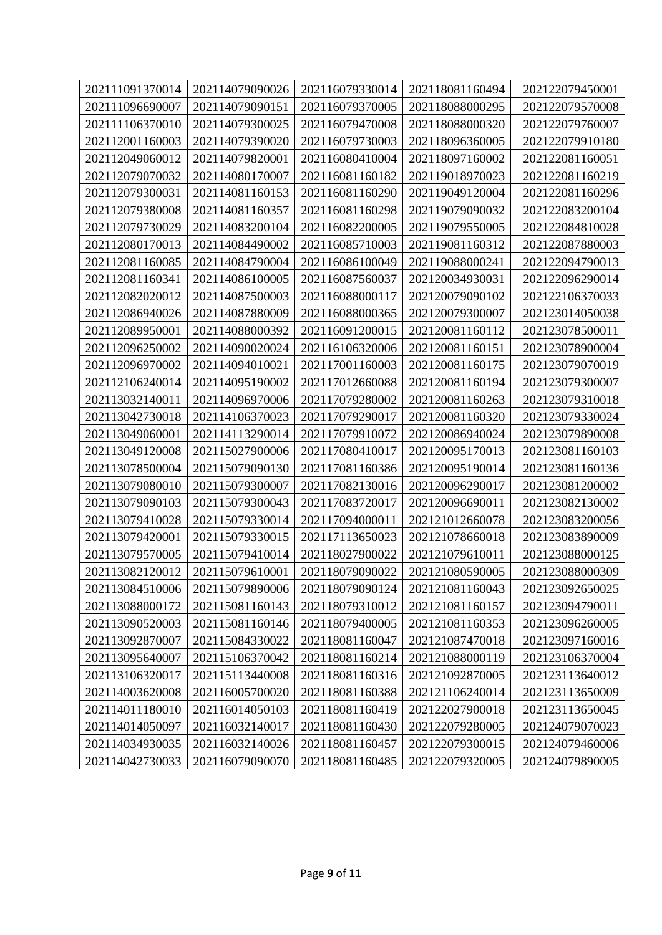| 202111091370014 | 202114079090026 | 202116079330014 | 202118081160494 | 202122079450001 |
|-----------------|-----------------|-----------------|-----------------|-----------------|
| 202111096690007 | 202114079090151 | 202116079370005 | 202118088000295 | 202122079570008 |
| 202111106370010 | 202114079300025 | 202116079470008 | 202118088000320 | 202122079760007 |
| 202112001160003 | 202114079390020 | 202116079730003 | 202118096360005 | 202122079910180 |
| 202112049060012 | 202114079820001 | 202116080410004 | 202118097160002 | 202122081160051 |
| 202112079070032 | 202114080170007 | 202116081160182 | 202119018970023 | 202122081160219 |
| 202112079300031 | 202114081160153 | 202116081160290 | 202119049120004 | 202122081160296 |
| 202112079380008 | 202114081160357 | 202116081160298 | 202119079090032 | 202122083200104 |
| 202112079730029 | 202114083200104 | 202116082200005 | 202119079550005 | 202122084810028 |
| 202112080170013 | 202114084490002 | 202116085710003 | 202119081160312 | 202122087880003 |
| 202112081160085 | 202114084790004 | 202116086100049 | 202119088000241 | 202122094790013 |
| 202112081160341 | 202114086100005 | 202116087560037 | 202120034930031 | 202122096290014 |
| 202112082020012 | 202114087500003 | 202116088000117 | 202120079090102 | 202122106370033 |
| 202112086940026 | 202114087880009 | 202116088000365 | 202120079300007 | 202123014050038 |
| 202112089950001 | 202114088000392 | 202116091200015 | 202120081160112 | 202123078500011 |
| 202112096250002 | 202114090020024 | 202116106320006 | 202120081160151 | 202123078900004 |
| 202112096970002 | 202114094010021 | 202117001160003 | 202120081160175 | 202123079070019 |
| 202112106240014 | 202114095190002 | 202117012660088 | 202120081160194 | 202123079300007 |
| 202113032140011 | 202114096970006 | 202117079280002 | 202120081160263 | 202123079310018 |
| 202113042730018 | 202114106370023 | 202117079290017 | 202120081160320 | 202123079330024 |
| 202113049060001 | 202114113290014 | 202117079910072 | 202120086940024 | 202123079890008 |
| 202113049120008 | 202115027900006 | 202117080410017 | 202120095170013 | 202123081160103 |
| 202113078500004 | 202115079090130 | 202117081160386 | 202120095190014 | 202123081160136 |
| 202113079080010 | 202115079300007 | 202117082130016 | 202120096290017 | 202123081200002 |
| 202113079090103 | 202115079300043 | 202117083720017 | 202120096690011 | 202123082130002 |
| 202113079410028 | 202115079330014 | 202117094000011 | 202121012660078 | 202123083200056 |
| 202113079420001 | 202115079330015 | 202117113650023 | 202121078660018 | 202123083890009 |
| 202113079570005 | 202115079410014 | 202118027900022 | 202121079610011 | 202123088000125 |
| 202113082120012 | 202115079610001 | 202118079090022 | 202121080590005 | 202123088000309 |
| 202113084510006 | 202115079890006 | 202118079090124 | 202121081160043 | 202123092650025 |
| 202113088000172 | 202115081160143 | 202118079310012 | 202121081160157 | 202123094790011 |
| 202113090520003 | 202115081160146 | 202118079400005 | 202121081160353 | 202123096260005 |
| 202113092870007 | 202115084330022 | 202118081160047 | 202121087470018 | 202123097160016 |
| 202113095640007 | 202115106370042 | 202118081160214 | 202121088000119 | 202123106370004 |
| 202113106320017 | 202115113440008 | 202118081160316 | 202121092870005 | 202123113640012 |
| 202114003620008 | 202116005700020 | 202118081160388 | 202121106240014 | 202123113650009 |
| 202114011180010 | 202116014050103 | 202118081160419 | 202122027900018 | 202123113650045 |
| 202114014050097 | 202116032140017 | 202118081160430 | 202122079280005 | 202124079070023 |
| 202114034930035 | 202116032140026 | 202118081160457 | 202122079300015 | 202124079460006 |
| 202114042730033 | 202116079090070 | 202118081160485 | 202122079320005 | 202124079890005 |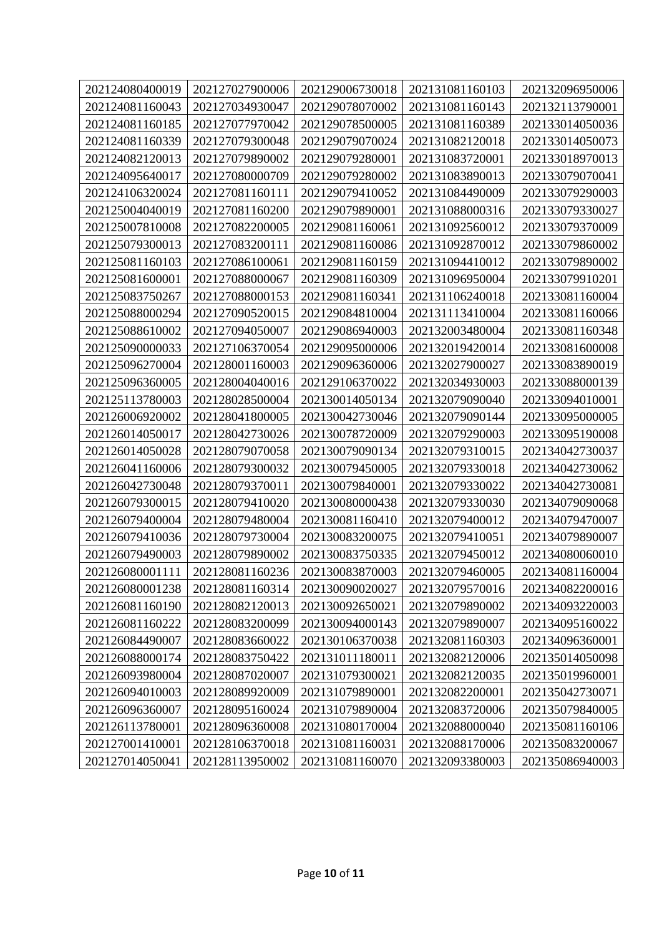| 202124080400019 | 202127027900006 | 202129006730018 | 202131081160103 | 202132096950006 |
|-----------------|-----------------|-----------------|-----------------|-----------------|
| 202124081160043 | 202127034930047 | 202129078070002 | 202131081160143 | 202132113790001 |
| 202124081160185 | 202127077970042 | 202129078500005 | 202131081160389 | 202133014050036 |
| 202124081160339 | 202127079300048 | 202129079070024 | 202131082120018 | 202133014050073 |
| 202124082120013 | 202127079890002 | 202129079280001 | 202131083720001 | 202133018970013 |
| 202124095640017 | 202127080000709 | 202129079280002 | 202131083890013 | 202133079070041 |
| 202124106320024 | 202127081160111 | 202129079410052 | 202131084490009 | 202133079290003 |
| 202125004040019 | 202127081160200 | 202129079890001 | 202131088000316 | 202133079330027 |
| 202125007810008 | 202127082200005 | 202129081160061 | 202131092560012 | 202133079370009 |
| 202125079300013 | 202127083200111 | 202129081160086 | 202131092870012 | 202133079860002 |
| 202125081160103 | 202127086100061 | 202129081160159 | 202131094410012 | 202133079890002 |
| 202125081600001 | 202127088000067 | 202129081160309 | 202131096950004 | 202133079910201 |
| 202125083750267 | 202127088000153 | 202129081160341 | 202131106240018 | 202133081160004 |
| 202125088000294 | 202127090520015 | 202129084810004 | 202131113410004 | 202133081160066 |
| 202125088610002 | 202127094050007 | 202129086940003 | 202132003480004 | 202133081160348 |
| 202125090000033 | 202127106370054 | 202129095000006 | 202132019420014 | 202133081600008 |
| 202125096270004 | 202128001160003 | 202129096360006 | 202132027900027 | 202133083890019 |
| 202125096360005 | 202128004040016 | 202129106370022 | 202132034930003 | 202133088000139 |
| 202125113780003 | 202128028500004 | 202130014050134 | 202132079090040 | 202133094010001 |
| 202126006920002 | 202128041800005 | 202130042730046 | 202132079090144 | 202133095000005 |
| 202126014050017 | 202128042730026 | 202130078720009 | 202132079290003 | 202133095190008 |
| 202126014050028 | 202128079070058 | 202130079090134 | 202132079310015 | 202134042730037 |
| 202126041160006 | 202128079300032 | 202130079450005 | 202132079330018 | 202134042730062 |
| 202126042730048 | 202128079370011 | 202130079840001 | 202132079330022 | 202134042730081 |
| 202126079300015 | 202128079410020 | 202130080000438 | 202132079330030 | 202134079090068 |
| 202126079400004 | 202128079480004 | 202130081160410 | 202132079400012 | 202134079470007 |
| 202126079410036 | 202128079730004 | 202130083200075 | 202132079410051 | 202134079890007 |
| 202126079490003 | 202128079890002 | 202130083750335 | 202132079450012 | 202134080060010 |
| 202126080001111 | 202128081160236 | 202130083870003 | 202132079460005 | 202134081160004 |
| 202126080001238 | 202128081160314 | 202130090020027 | 202132079570016 | 202134082200016 |
| 202126081160190 | 202128082120013 | 202130092650021 | 202132079890002 | 202134093220003 |
| 202126081160222 | 202128083200099 | 202130094000143 | 202132079890007 | 202134095160022 |
| 202126084490007 | 202128083660022 | 202130106370038 | 202132081160303 | 202134096360001 |
| 202126088000174 | 202128083750422 | 202131011180011 | 202132082120006 | 202135014050098 |
| 202126093980004 | 202128087020007 | 202131079300021 | 202132082120035 | 202135019960001 |
| 202126094010003 | 202128089920009 | 202131079890001 | 202132082200001 | 202135042730071 |
| 202126096360007 | 202128095160024 | 202131079890004 | 202132083720006 | 202135079840005 |
| 202126113780001 | 202128096360008 | 202131080170004 | 202132088000040 | 202135081160106 |
| 202127001410001 | 202128106370018 | 202131081160031 | 202132088170006 | 202135083200067 |
| 202127014050041 | 202128113950002 | 202131081160070 | 202132093380003 | 202135086940003 |